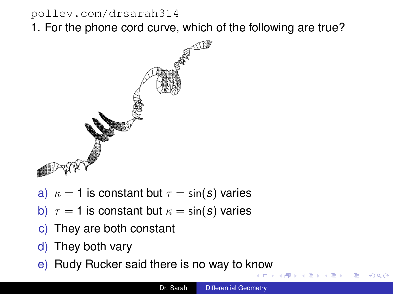#### <span id="page-0-0"></span><pollev.com/drsarah314>

1. For the phone cord curve, which of the following are true?



- a)  $\kappa = 1$  is constant but  $\tau = \sin(s)$  varies
- b)  $\tau = 1$  is constant but  $\kappa = \sin(s)$  varies
- c) They are both constant
- d) They both vary
- e) Rudy Rucker said there is no way to k[no](#page-0-0)[w](#page-1-0)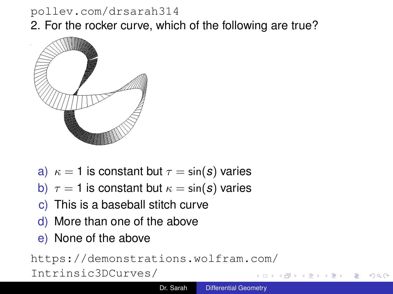#### <span id="page-1-0"></span><pollev.com/drsarah314> 2. For the rocker curve, which of the following are true?



- a)  $\kappa = 1$  is constant but  $\tau = \sin(s)$  varies
- b)  $\tau = 1$  is constant but  $\kappa = \sin(s)$  varies
- c) This is a baseball stitch curve
- d) More than one of the above
- e) None of the above

[https://demonstrations.wolfram.com/](https://demonstrations.wolfram.com/Intrinsic3DCurves/) [Intrinsic3DCurves/](https://demonstrations.wolfram.com/Intrinsic3DCurves/)

 $290$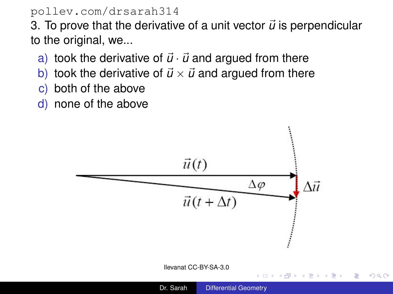#### <pollev.com/drsarah314>

3. To prove that the derivative of a unit vector  $\vec{u}$  is perpendicular to the original, we...

- a) took the derivative of  $\vec{u} \cdot \vec{u}$  and argued from there
- b) took the derivative of  $\vec{u} \times \vec{u}$  and argued from there
- c) both of the above
- d) none of the above



B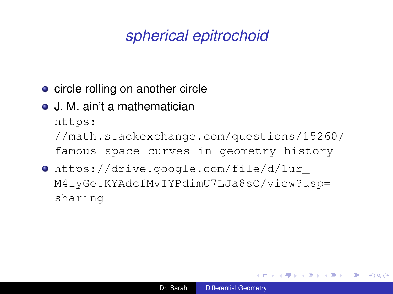## *spherical epitrochoid*

- circle rolling on another circle
- J. M. ain't a mathematician

[https:](https://math.stackexchange.com/questions/15260/famous-space-curves-in-geometry-history) [//math.stackexchange.com/questions/15260/](https://math.stackexchange.com/questions/15260/famous-space-curves-in-geometry-history) [famous-space-curves-in-geometry-history](https://math.stackexchange.com/questions/15260/famous-space-curves-in-geometry-history)

[https://drive.google.com/file/d/1ur\\_](https://drive.google.com/file/d/1ur_M4iyGetKYAdcfMvIYPdimU7LJa8sO/view?usp=sharing) [M4iyGetKYAdcfMvIYPdimU7LJa8sO/view?usp=](https://drive.google.com/file/d/1ur_M4iyGetKYAdcfMvIYPdimU7LJa8sO/view?usp=sharing) [sharing](https://drive.google.com/file/d/1ur_M4iyGetKYAdcfMvIYPdimU7LJa8sO/view?usp=sharing)

イロト 不優 トイモト 不思 トー

重。  $2Q$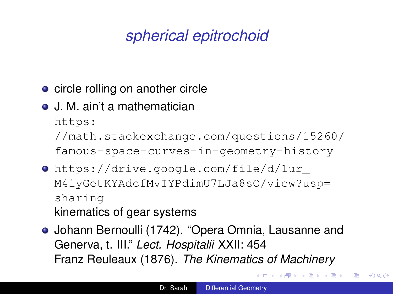# *spherical epitrochoid*

- circle rolling on another circle
- J. M. ain't a mathematician

[https:](https://math.stackexchange.com/questions/15260/famous-space-curves-in-geometry-history)

[//math.stackexchange.com/questions/15260/](https://math.stackexchange.com/questions/15260/famous-space-curves-in-geometry-history)

[famous-space-curves-in-geometry-history](https://math.stackexchange.com/questions/15260/famous-space-curves-in-geometry-history)

- [https://drive.google.com/file/d/1ur\\_](https://drive.google.com/file/d/1ur_M4iyGetKYAdcfMvIYPdimU7LJa8sO/view?usp=sharing) [M4iyGetKYAdcfMvIYPdimU7LJa8sO/view?usp=](https://drive.google.com/file/d/1ur_M4iyGetKYAdcfMvIYPdimU7LJa8sO/view?usp=sharing) [sharing](https://drive.google.com/file/d/1ur_M4iyGetKYAdcfMvIYPdimU7LJa8sO/view?usp=sharing) kinematics of gear systems
- Johann Bernoulli (1742). "Opera Omnia, Lausanne and Generva, t. III." *Lect. Hospitalii* XXII: 454 Franz Reuleaux (1876). *The Kinematics of Machinery*

K 何 ▶ K ヨ ▶ K ヨ ▶

÷.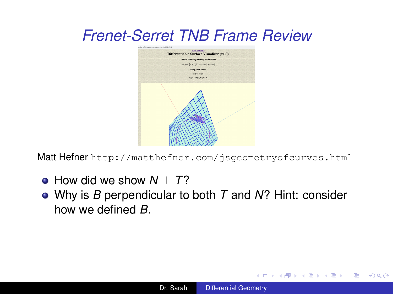### <span id="page-5-0"></span>*Frenet-Serret TNB Frame Review*



Matt Hefner <http://matthefner.com/jsgeometryofcurves.html>

- How did we show *N* ⊥ *T*?
- Why is *B* perpendicular to both *T* and *N*? Hint: consider how we defined *B*.

イロト イ押 トイヨ トイヨト

÷.